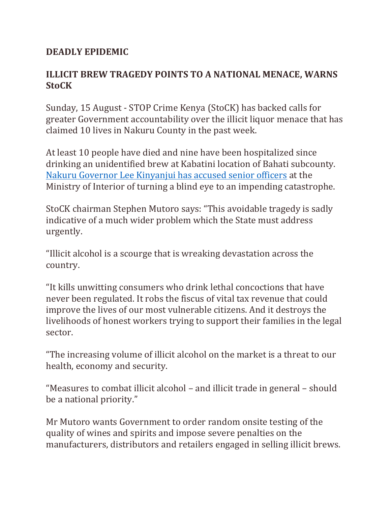## **DEADLY EPIDEMIC**

## **ILLICIT BREW TRAGEDY POINTS TO A NATIONAL MENACE, WARNS StoCK**

Sunday, 15 August - STOP Crime Kenya (StoCK) has backed calls for greater Government accountability over the illicit liquor menace that has claimed 10 lives in Nakuru County in the past week.

At least 10 people have died and nine have been hospitalized since drinking an unidentified brew at Kabatini location of Bahati subcounty. [Nakuru Governor Lee Kinyanjui has](https://www.standardmedia.co.ke/rift-valley/article/2001420803/kinyanjui-blames-state-laxity-on-illicit-brew-menace-after-10-die) accused senior officers at the Ministry of Interior of turning a blind eye to an impending catastrophe.

StoCK chairman Stephen Mutoro says: "This avoidable tragedy is sadly indicative of a much wider problem which the State must address urgently.

"Illicit alcohol is a scourge that is wreaking devastation across the country.

"It kills unwitting consumers who drink lethal concoctions that have never been regulated. It robs the fiscus of vital tax revenue that could improve the lives of our most vulnerable citizens. And it destroys the livelihoods of honest workers trying to support their families in the legal sector.

"The increasing volume of illicit alcohol on the market is a threat to our health, economy and security.

"Measures to combat illicit alcohol – and illicit trade in general – should be a national priority."

Mr Mutoro wants Government to order random onsite testing of the quality of wines and spirits and impose severe penalties on the manufacturers, distributors and retailers engaged in selling illicit brews.